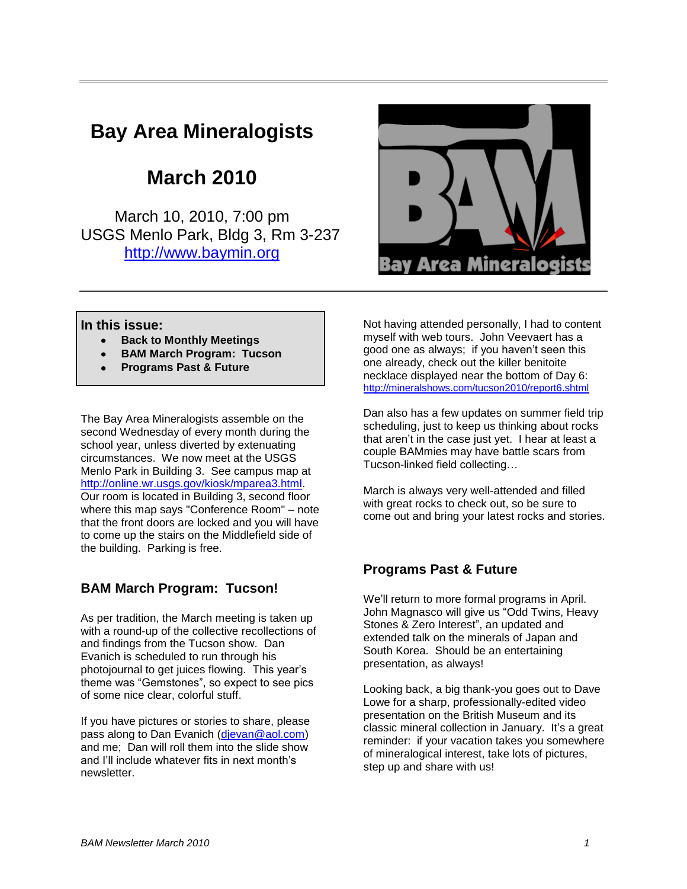# **Bay Area Mineralogists**

## **March 2010**

March 10, 2010, 7:00 pm USGS Menlo Park, Bldg 3, Rm 3-237 [http://www.baymin.org](http://www.baymin.org/)



#### **In this issue:**

- **Back to Monthly Meetings**
- **BAM March Program: Tucson**
- **Programs Past & Future**

The Bay Area Mineralogists assemble on the second Wednesday of every month during the school year, unless diverted by extenuating circumstances. We now meet at the USGS Menlo Park in Building 3. See campus map at [http://online.wr.usgs.gov/kiosk/mparea3.html.](http://online.wr.usgs.gov/kiosk/mparea3.html) Our room is located in Building 3, second floor where this map says "Conference Room" – note that the front doors are locked and you will have to come up the stairs on the Middlefield side of the building. Parking is free.

## **BAM March Program: Tucson!**

As per tradition, the March meeting is taken up with a round-up of the collective recollections of and findings from the Tucson show. Dan Evanich is scheduled to run through his photojournal to get juices flowing. This year's theme was "Gemstones", so expect to see pics of some nice clear, colorful stuff.

If you have pictures or stories to share, please pass along to Dan Evanich [\(djevan@aol.com\)](mailto:djevan@aol.com) and me; Dan will roll them into the slide show and I'll include whatever fits in next month's newsletter.

Not having attended personally, I had to content myself with web tours. John Veevaert has a good one as always; if you haven't seen this one already, check out the killer benitoite necklace displayed near the bottom of Day 6: <http://mineralshows.com/tucson2010/report6.shtml>

Dan also has a few updates on summer field trip scheduling, just to keep us thinking about rocks that aren't in the case just yet. I hear at least a couple BAMmies may have battle scars from Tucson-linked field collecting…

March is always very well-attended and filled with great rocks to check out, so be sure to come out and bring your latest rocks and stories.

## **Programs Past & Future**

We'll return to more formal programs in April. John Magnasco will give us "Odd Twins, Heavy Stones & Zero Interest", an updated and extended talk on the minerals of Japan and South Korea. Should be an entertaining presentation, as always!

Looking back, a big thank-you goes out to Dave Lowe for a sharp, professionally-edited video presentation on the British Museum and its classic mineral collection in January. It's a great reminder: if your vacation takes you somewhere of mineralogical interest, take lots of pictures, step up and share with us!